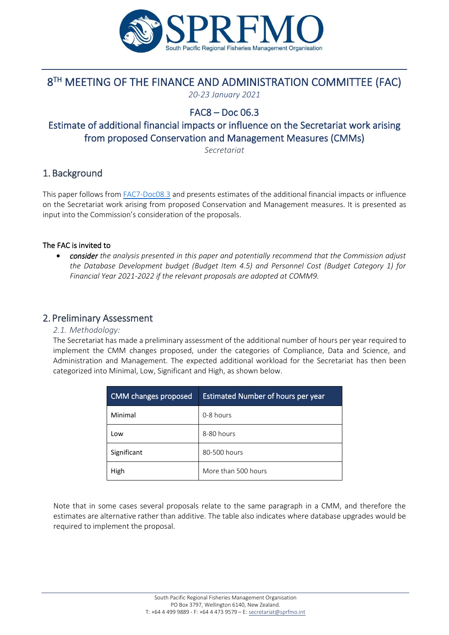

# 8 TH MEETING OF THE FINANCE AND ADMINISTRATION COMMITTEE (FAC)

*20-23 January 2021*

### FAC8 – Doc 06.3

## Estimate of additional financial impacts or influence on the Secretariat work arising from proposed Conservation and Management Measures (CMMs)

*Secretariat*

### 1. Background

This paper follows from [FAC7-Doc08.3](https://www.sprfmo.int/assets/2020-Annual-Meeting/FAC7-2020/Docs/FAC7-Doc08.3-Estimate-of-additional-financial-impacts-or-influence-on-the-Secretariat-work-arising-from-proposed-Conservation-and-Management-Measures.pdf) and presents estimates of the additional financial impacts or influence on the Secretariat work arising from proposed Conservation and Management measures. It is presented as input into the Commission's consideration of the proposals.

#### The FAC is invited to

• *consider the analysis presented in this paper and potentially recommend that the Commission adjust the Database Development budget (Budget Item 4.5) and Personnel Cost (Budget Category 1) for Financial Year 2021-2022 if the relevant proposals are adopted at COMM9.*

#### 2. Preliminary Assessment

#### *2.1. Methodology:*

The Secretariat has made a preliminary assessment of the additional number of hours per year required to implement the CMM changes proposed, under the categories of Compliance, Data and Science, and Administration and Management. The expected additional workload for the Secretariat has then been categorized into Minimal, Low, Significant and High, as shown below.

| <b>CMM</b> changes proposed | <b>Estimated Number of hours per year</b> |
|-----------------------------|-------------------------------------------|
| Minimal                     | 0-8 hours                                 |
| Low                         | 8-80 hours                                |
| Significant                 | 80-500 hours                              |
| High                        | More than 500 hours                       |

Note that in some cases several proposals relate to the same paragraph in a CMM, and therefore the estimates are alternative rather than additive. The table also indicates where database upgrades would be required to implement the proposal.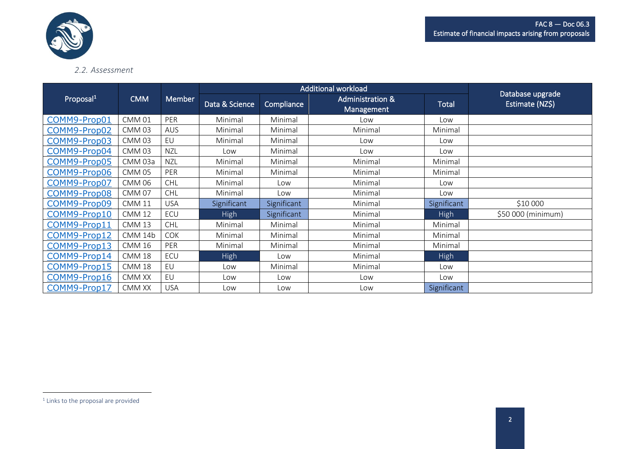



#### *2.2. Assessment*

|                       |                   |               | <b>Additional workload</b> |             |                                           |              |                                     |
|-----------------------|-------------------|---------------|----------------------------|-------------|-------------------------------------------|--------------|-------------------------------------|
| Proposal <sup>1</sup> | <b>CMM</b>        | <b>Member</b> | Data & Science             | Compliance  | <b>Administration &amp;</b><br>Management | <b>Total</b> | Database upgrade<br>Estimate (NZ\$) |
| COMM9-Prop01          | CMM 01            | PER           | Minimal                    | Minimal     | Low                                       | Low          |                                     |
| COMM9-Prop02          | <b>CMM03</b>      | <b>AUS</b>    | Minimal                    | Minimal     | Minimal                                   | Minimal      |                                     |
| COMM9-Prop03          | <b>CMM03</b>      | EU            | Minimal                    | Minimal     | Low                                       | Low          |                                     |
| COMM9-Prop04          | <b>CMM03</b>      | <b>NZL</b>    | Low                        | Minimal     | Low                                       | Low          |                                     |
| COMM9-Prop05          | CMM 03a           | <b>NZL</b>    | Minimal                    | Minimal     | Minimal                                   | Minimal      |                                     |
| COMM9-Prop06          | <b>CMM 05</b>     | PER           | Minimal                    | Minimal     | Minimal                                   | Minimal      |                                     |
| COMM9-Prop07          | <b>CMM 06</b>     | <b>CHL</b>    | Minimal                    | Low         | Minimal                                   | Low          |                                     |
| COMM9-Prop08          | <b>CMM 07</b>     | <b>CHL</b>    | Minimal                    | Low         | Minimal                                   | Low          |                                     |
| COMM9-Prop09          | <b>CMM 11</b>     | <b>USA</b>    | Significant                | Significant | Minimal                                   | Significant  | \$10 000                            |
| COMM9-Prop10          | <b>CMM 12</b>     | ECU           | <b>High</b>                | Significant | Minimal                                   | <b>High</b>  | \$50 000 (minimum)                  |
| COMM9-Prop11          | CMM <sub>13</sub> | <b>CHL</b>    | Minimal                    | Minimal     | Minimal                                   | Minimal      |                                     |
| COMM9-Prop12          | CMM 14b           | <b>COK</b>    | Minimal                    | Minimal     | Minimal                                   | Minimal      |                                     |
| COMM9-Prop13          | <b>CMM 16</b>     | PER           | Minimal                    | Minimal     | Minimal                                   | Minimal      |                                     |
| COMM9-Prop14          | <b>CMM 18</b>     | ECU           | High                       | Low         | Minimal                                   | High         |                                     |
| COMM9-Prop15          | <b>CMM 18</b>     | EU            | Low                        | Minimal     | Minimal                                   | Low          |                                     |
| COMM9-Prop16          | CMM XX            | EU            | Low                        | Low         | Low                                       | Low          |                                     |
| COMM9-Prop17          | CMM XX            | <b>USA</b>    | Low                        | Low         | Low                                       | Significant  |                                     |